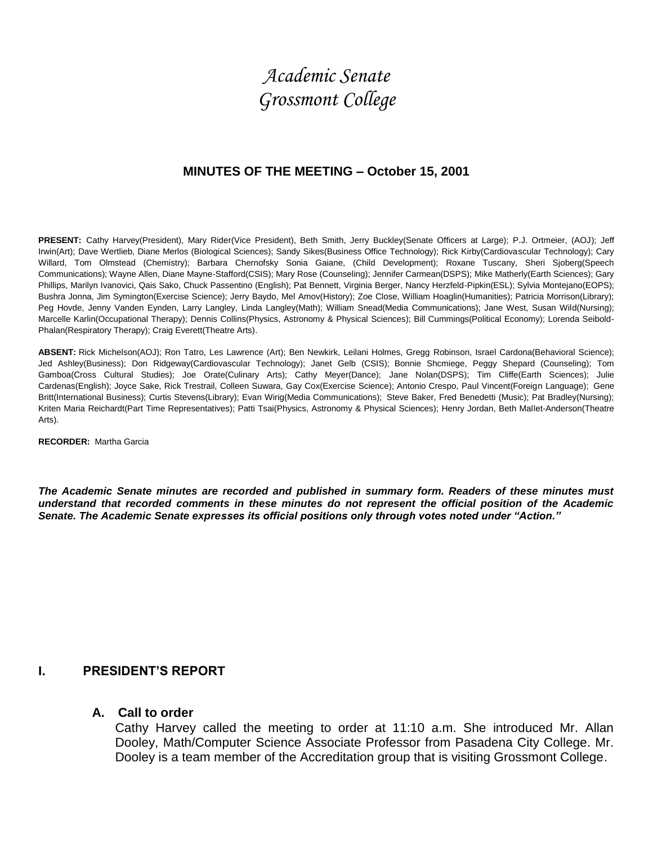# *Academic Senate Grossmont College*

## **MINUTES OF THE MEETING – October 15, 2001**

PRESENT: Cathy Harvey(President), Mary Rider(Vice President), Beth Smith, Jerry Buckley(Senate Officers at Large); P.J. Ortmeier, (AOJ); Jeff Irwin(Art); Dave Wertlieb, Diane Merlos (Biological Sciences); Sandy Sikes(Business Office Technology); Rick Kirby(Cardiovascular Technology); Cary Willard, Tom Olmstead (Chemistry); Barbara Chernofsky Sonia Gaiane, (Child Development); Roxane Tuscany, Sheri Sjoberg(Speech Communications); Wayne Allen, Diane Mayne-Stafford(CSIS); Mary Rose (Counseling); Jennifer Carmean(DSPS); Mike Matherly(Earth Sciences); Gary Phillips, Marilyn Ivanovici, Qais Sako, Chuck Passentino (English); Pat Bennett, Virginia Berger, Nancy Herzfeld-Pipkin(ESL); Sylvia Montejano(EOPS); Bushra Jonna, Jim Symington(Exercise Science); Jerry Baydo, Mel Amov(History); Zoe Close, William Hoaglin(Humanities); Patricia Morrison(Library); Peg Hovde, Jenny Vanden Eynden, Larry Langley, Linda Langley(Math); William Snead(Media Communications); Jane West, Susan Wild(Nursing); Marcelle Karlin(Occupational Therapy); Dennis Collins(Physics, Astronomy & Physical Sciences); Bill Cummings(Political Economy); Lorenda Seibold-Phalan(Respiratory Therapy); Craig Everett(Theatre Arts).

**ABSENT:** Rick Michelson(AOJ); Ron Tatro, Les Lawrence (Art); Ben Newkirk, Leilani Holmes, Gregg Robinson, Israel Cardona(Behavioral Science); Jed Ashley(Business); Don Ridgeway(Cardiovascular Technology); Janet Gelb (CSIS); Bonnie Shcmiege, Peggy Shepard (Counseling); Tom Gamboa(Cross Cultural Studies); Joe Orate(Culinary Arts); Cathy Meyer(Dance); Jane Nolan(DSPS); Tim Cliffe(Earth Sciences); Julie Cardenas(English); Joyce Sake, Rick Trestrail, Colleen Suwara, Gay Cox(Exercise Science); Antonio Crespo, Paul Vincent(Foreign Language); Gene Britt(International Business); Curtis Stevens(Library); Evan Wirig(Media Communications); Steve Baker, Fred Benedetti (Music); Pat Bradley(Nursing); Kriten Maria Reichardt(Part Time Representatives); Patti Tsai(Physics, Astronomy & Physical Sciences); Henry Jordan, Beth Mallet-Anderson(Theatre Arts).

**RECORDER:** Martha Garcia

*The Academic Senate minutes are recorded and published in summary form. Readers of these minutes must understand that recorded comments in these minutes do not represent the official position of the Academic Senate. The Academic Senate expresses its official positions only through votes noted under "Action."*

### **I. PRESIDENT'S REPORT**

#### **A. Call to order**

Cathy Harvey called the meeting to order at 11:10 a.m. She introduced Mr. Allan Dooley, Math/Computer Science Associate Professor from Pasadena City College. Mr. Dooley is a team member of the Accreditation group that is visiting Grossmont College.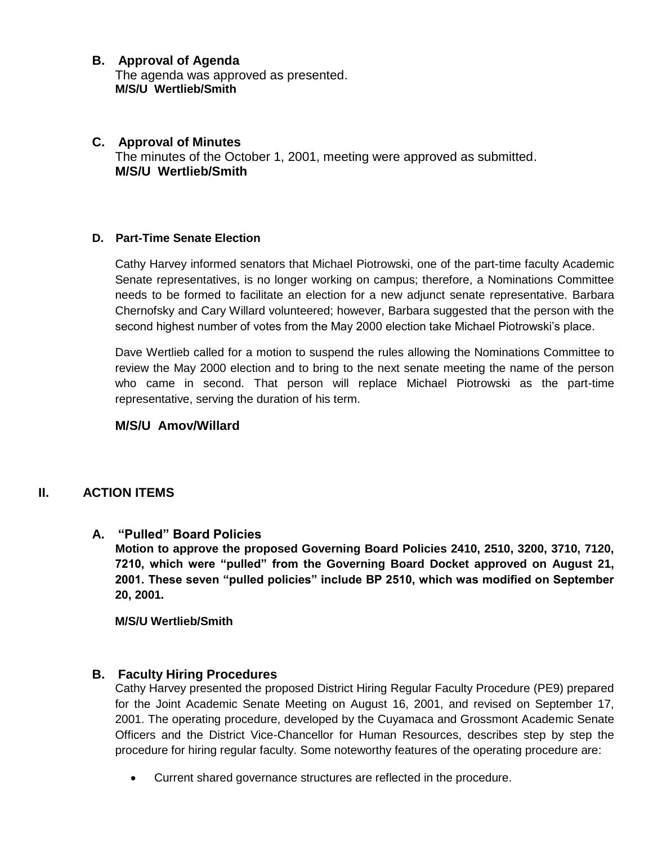## **B. Approval of Agenda**

The agenda was approved as presented. **M/S/U Wertlieb/Smith**

## **C. Approval of Minutes** The minutes of the October 1, 2001, meeting were approved as submitted. **M/S/U Wertlieb/Smith**

## **D. Part-Time Senate Election**

Cathy Harvey informed senators that Michael Piotrowski, one of the part-time faculty Academic Senate representatives, is no longer working on campus; therefore, a Nominations Committee needs to be formed to facilitate an election for a new adjunct senate representative. Barbara Chernofsky and Cary Willard volunteered; however, Barbara suggested that the person with the second highest number of votes from the May 2000 election take Michael Piotrowski's place.

Dave Wertlieb called for a motion to suspend the rules allowing the Nominations Committee to review the May 2000 election and to bring to the next senate meeting the name of the person who came in second. That person will replace Michael Piotrowski as the part-time representative, serving the duration of his term.

### **M/S/U Amov/Willard**

## **II. ACTION ITEMS**

### **A. "Pulled" Board Policies**

**Motion to approve the proposed Governing Board Policies 2410, 2510, 3200, 3710, 7120, 7210, which were "pulled" from the Governing Board Docket approved on August 21, 2001. These seven "pulled policies" include BP 2510, which was modified on September 20, 2001.**

 **M/S/U Wertlieb/Smith**

### **B. Faculty Hiring Procedures**

Cathy Harvey presented the proposed District Hiring Regular Faculty Procedure (PE9) prepared for the Joint Academic Senate Meeting on August 16, 2001, and revised on September 17, 2001. The operating procedure, developed by the Cuyamaca and Grossmont Academic Senate Officers and the District Vice-Chancellor for Human Resources, describes step by step the procedure for hiring regular faculty. Some noteworthy features of the operating procedure are:

Current shared governance structures are reflected in the procedure.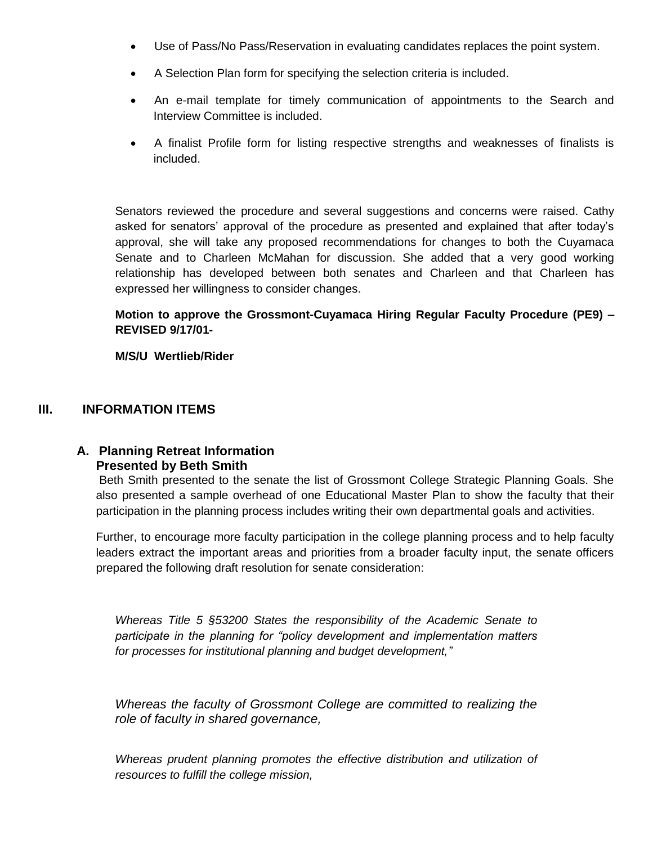- Use of Pass/No Pass/Reservation in evaluating candidates replaces the point system.
- A Selection Plan form for specifying the selection criteria is included.
- An e-mail template for timely communication of appointments to the Search and Interview Committee is included.
- A finalist Profile form for listing respective strengths and weaknesses of finalists is included.

Senators reviewed the procedure and several suggestions and concerns were raised. Cathy asked for senators' approval of the procedure as presented and explained that after today's approval, she will take any proposed recommendations for changes to both the Cuyamaca Senate and to Charleen McMahan for discussion. She added that a very good working relationship has developed between both senates and Charleen and that Charleen has expressed her willingness to consider changes.

## **Motion to approve the Grossmont-Cuyamaca Hiring Regular Faculty Procedure (PE9) – REVISED 9/17/01-**

### **M/S/U Wertlieb/Rider**

## **III. INFORMATION ITEMS**

### **A. Planning Retreat Information Presented by Beth Smith**

Beth Smith presented to the senate the list of Grossmont College Strategic Planning Goals. She also presented a sample overhead of one Educational Master Plan to show the faculty that their participation in the planning process includes writing their own departmental goals and activities.

Further, to encourage more faculty participation in the college planning process and to help faculty leaders extract the important areas and priorities from a broader faculty input, the senate officers prepared the following draft resolution for senate consideration:

*Whereas Title 5 §53200 States the responsibility of the Academic Senate to participate in the planning for "policy development and implementation matters for processes for institutional planning and budget development,"*

*Whereas the faculty of Grossmont College are committed to realizing the role of faculty in shared governance,*

*Whereas prudent planning promotes the effective distribution and utilization of resources to fulfill the college mission,*